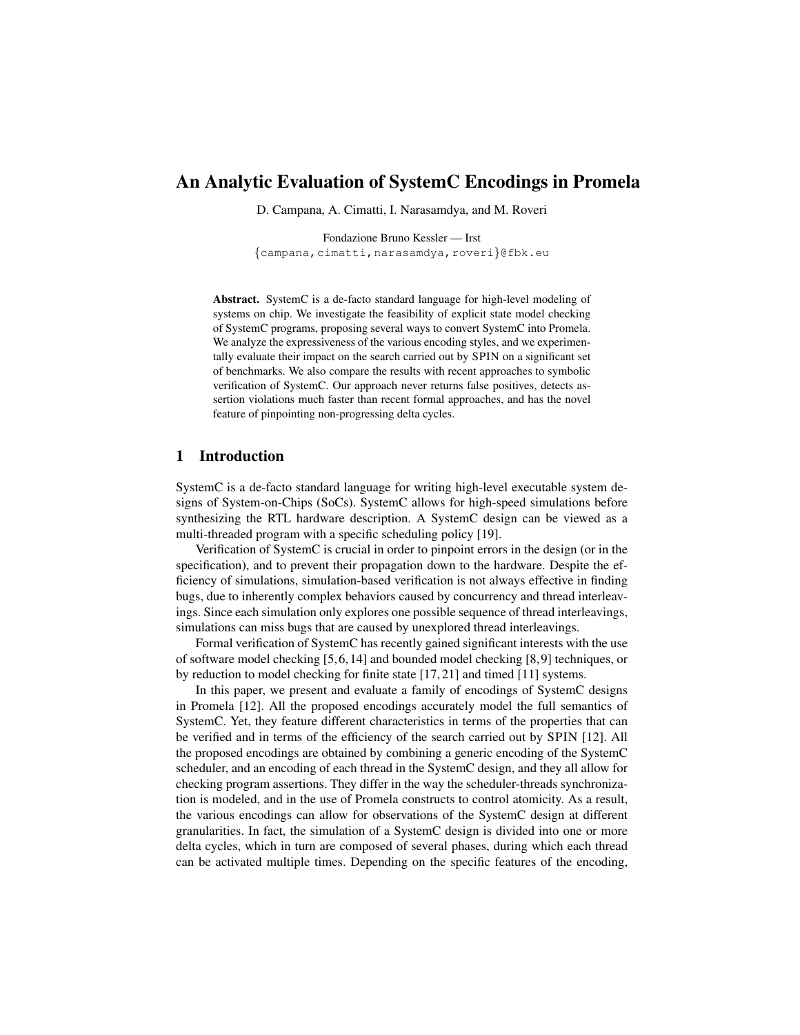# An Analytic Evaluation of SystemC Encodings in Promela

D. Campana, A. Cimatti, I. Narasamdya, and M. Roveri

Fondazione Bruno Kessler — Irst {campana,cimatti,narasamdya,roveri}@fbk.eu

Abstract. SystemC is a de-facto standard language for high-level modeling of systems on chip. We investigate the feasibility of explicit state model checking of SystemC programs, proposing several ways to convert SystemC into Promela. We analyze the expressiveness of the various encoding styles, and we experimentally evaluate their impact on the search carried out by SPIN on a significant set of benchmarks. We also compare the results with recent approaches to symbolic verification of SystemC. Our approach never returns false positives, detects assertion violations much faster than recent formal approaches, and has the novel feature of pinpointing non-progressing delta cycles.

### 1 Introduction

SystemC is a de-facto standard language for writing high-level executable system designs of System-on-Chips (SoCs). SystemC allows for high-speed simulations before synthesizing the RTL hardware description. A SystemC design can be viewed as a multi-threaded program with a specific scheduling policy [19].

Verification of SystemC is crucial in order to pinpoint errors in the design (or in the specification), and to prevent their propagation down to the hardware. Despite the efficiency of simulations, simulation-based verification is not always effective in finding bugs, due to inherently complex behaviors caused by concurrency and thread interleavings. Since each simulation only explores one possible sequence of thread interleavings, simulations can miss bugs that are caused by unexplored thread interleavings.

Formal verification of SystemC has recently gained significant interests with the use of software model checking [5, 6, 14] and bounded model checking [8, 9] techniques, or by reduction to model checking for finite state [17, 21] and timed [11] systems.

In this paper, we present and evaluate a family of encodings of SystemC designs in Promela [12]. All the proposed encodings accurately model the full semantics of SystemC. Yet, they feature different characteristics in terms of the properties that can be verified and in terms of the efficiency of the search carried out by SPIN [12]. All the proposed encodings are obtained by combining a generic encoding of the SystemC scheduler, and an encoding of each thread in the SystemC design, and they all allow for checking program assertions. They differ in the way the scheduler-threads synchronization is modeled, and in the use of Promela constructs to control atomicity. As a result, the various encodings can allow for observations of the SystemC design at different granularities. In fact, the simulation of a SystemC design is divided into one or more delta cycles, which in turn are composed of several phases, during which each thread can be activated multiple times. Depending on the specific features of the encoding,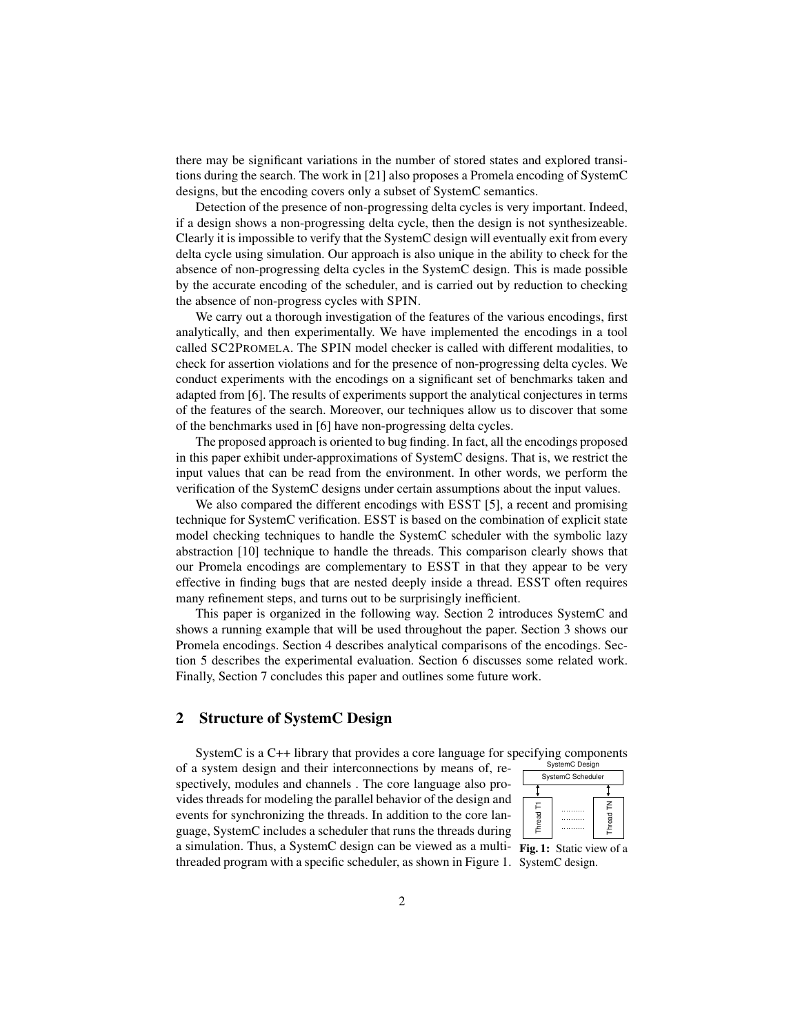there may be significant variations in the number of stored states and explored transitions during the search. The work in [21] also proposes a Promela encoding of SystemC designs, but the encoding covers only a subset of SystemC semantics.

Detection of the presence of non-progressing delta cycles is very important. Indeed, if a design shows a non-progressing delta cycle, then the design is not synthesizeable. Clearly it is impossible to verify that the SystemC design will eventually exit from every delta cycle using simulation. Our approach is also unique in the ability to check for the absence of non-progressing delta cycles in the SystemC design. This is made possible by the accurate encoding of the scheduler, and is carried out by reduction to checking the absence of non-progress cycles with SPIN.

We carry out a thorough investigation of the features of the various encodings, first analytically, and then experimentally. We have implemented the encodings in a tool called SC2PROMELA. The SPIN model checker is called with different modalities, to check for assertion violations and for the presence of non-progressing delta cycles. We conduct experiments with the encodings on a significant set of benchmarks taken and adapted from [6]. The results of experiments support the analytical conjectures in terms of the features of the search. Moreover, our techniques allow us to discover that some of the benchmarks used in [6] have non-progressing delta cycles.

The proposed approach is oriented to bug finding. In fact, all the encodings proposed in this paper exhibit under-approximations of SystemC designs. That is, we restrict the input values that can be read from the environment. In other words, we perform the verification of the SystemC designs under certain assumptions about the input values.

We also compared the different encodings with ESST [5], a recent and promising technique for SystemC verification. ESST is based on the combination of explicit state model checking techniques to handle the SystemC scheduler with the symbolic lazy abstraction [10] technique to handle the threads. This comparison clearly shows that our Promela encodings are complementary to ESST in that they appear to be very effective in finding bugs that are nested deeply inside a thread. ESST often requires many refinement steps, and turns out to be surprisingly inefficient.

This paper is organized in the following way. Section 2 introduces SystemC and shows a running example that will be used throughout the paper. Section 3 shows our Promela encodings. Section 4 describes analytical comparisons of the encodings. Section 5 describes the experimental evaluation. Section 6 discusses some related work. Finally, Section 7 concludes this paper and outlines some future work.

### 2 Structure of SystemC Design

SystemC is a C++ library that provides a core language for specifying components

of a system design and their interconnections by means of, respectively, modules and channels . The core language also provides threads for modeling the parallel behavior of the design and events for synchronizing the threads. In addition to the core language, SystemC includes a scheduler that runs the threads during a simulation. Thus, a SystemC design can be viewed as a multi- Fig. 1: Static view of a threaded program with a specific scheduler, as shown in Figure 1. SystemC design.

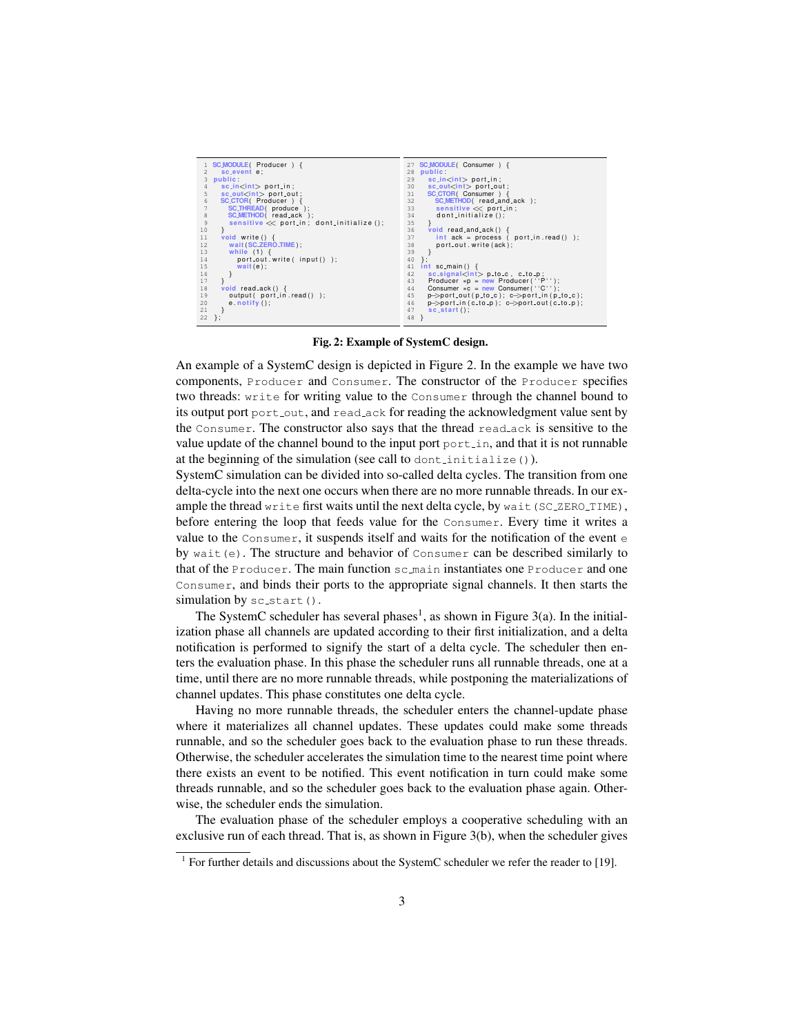```
1 SC MODULE( Producer ) {
   2 sc event e ;
3 public :
            4 sc in<in t> p o r t i n ;
   5 sc out<in t> p o r t o u t ;
6 SC CTOR( Producer ) {
   7 SC THREAD( produce ) ;
8 SC METHOD( read ack ) ;
                 sensitive \ll port<sub>-</sub>in; dont<sub>-</sub>initialize ();
1011 void w r i t e ( ) {
12 wai t (SC ZERO TIME ) ;
 13 while ( 1 ) {
14 p o r t o u t . w r i t e ( i n p u t ( ) ) ;
14 port-out<br>15 wait(e);
 16 }
17 }
void read_ack()<br>
19 output( port_<br>
20 e.notify();<br>
21 }<br>
22 };
 19   output( port_in .read() );<br>20   e.notify();
 21 }
22 };
                                                                                                                    27 SC MODULE( Consumer ) {
28 public :
29 sc in<in t> p o r t i n ;
                                                                                                                    30 sc out<in t> p o r t o u t ;
31 SC CTOR( Consumer ) {
                                                                                                                   32 SC.METHOD(read_and_ack);<br>33 sensitive << port_in:
                                                                                                                    33 sensitive \ll port_in ;<br>34 dont_initialize () ;
                                                                                                                   35<br>36}<br><mark>void</mark> read_and_ack() {
                                                                                                                    37 i n t ack = p rocess ( p o r t i n . read ( ) ) ;
38 p o r t o u t . w r i t e ( ack ) ;
                                                                                                                    37<br>38<br>39
                                                                                                                   40 \\ 4140 };<br>41 int sc_main () {<br>42 sc_signal<int;
                                                                                                                    42 sc.signal</n> p.10.c, c.to.p;<br>43 Producer *p = new Producer(''P'');<br>44 Consumer *c = new Consumer(''C'');<br>45 p⇒port.out(p.10.c); c⇒port.out(c.to.p);<br>p⇒port.in(c.to.p); c⇒port.out(c.to.p);
                                                                                                                                47 s c s t a r t ( ) ;
                                                                                                                    48 }
```
Fig. 2: Example of SystemC design.

An example of a SystemC design is depicted in Figure 2. In the example we have two components, Producer and Consumer. The constructor of the Producer specifies two threads: write for writing value to the Consumer through the channel bound to its output port port out, and read ack for reading the acknowledgment value sent by the Consumer. The constructor also says that the thread read ack is sensitive to the value update of the channel bound to the input port port\_in, and that it is not runnable at the beginning of the simulation (see call to dont initialize()).

SystemC simulation can be divided into so-called delta cycles. The transition from one delta-cycle into the next one occurs when there are no more runnable threads. In our example the thread write first waits until the next delta cycle, by wait ( $SC$   $ZERO$   $TIME$ ), before entering the loop that feeds value for the Consumer. Every time it writes a value to the Consumer, it suspends itself and waits for the notification of the event e by wait (e). The structure and behavior of Consumer can be described similarly to that of the Producer. The main function sc main instantiates one Producer and one Consumer, and binds their ports to the appropriate signal channels. It then starts the simulation by  $sc\_start()$ .

The SystemC scheduler has several phases<sup>1</sup>, as shown in Figure 3(a). In the initialization phase all channels are updated according to their first initialization, and a delta notification is performed to signify the start of a delta cycle. The scheduler then enters the evaluation phase. In this phase the scheduler runs all runnable threads, one at a time, until there are no more runnable threads, while postponing the materializations of channel updates. This phase constitutes one delta cycle.

Having no more runnable threads, the scheduler enters the channel-update phase where it materializes all channel updates. These updates could make some threads runnable, and so the scheduler goes back to the evaluation phase to run these threads. Otherwise, the scheduler accelerates the simulation time to the nearest time point where there exists an event to be notified. This event notification in turn could make some threads runnable, and so the scheduler goes back to the evaluation phase again. Otherwise, the scheduler ends the simulation.

The evaluation phase of the scheduler employs a cooperative scheduling with an exclusive run of each thread. That is, as shown in Figure 3(b), when the scheduler gives

<sup>&</sup>lt;sup>1</sup> For further details and discussions about the SystemC scheduler we refer the reader to [19].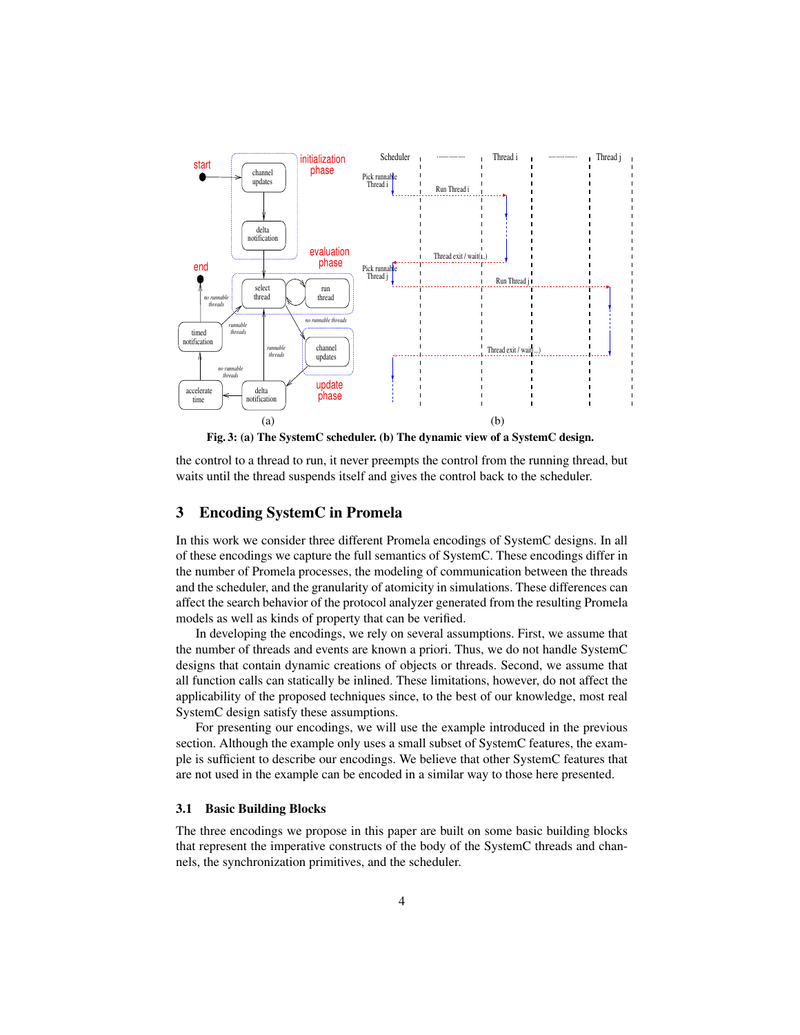

Fig. 3: (a) The SystemC scheduler. (b) The dynamic view of a SystemC design.

the control to a thread to run, it never preempts the control from the running thread, but waits until the thread suspends itself and gives the control back to the scheduler.

## 3 Encoding SystemC in Promela

In this work we consider three different Promela encodings of SystemC designs. In all of these encodings we capture the full semantics of SystemC. These encodings differ in the number of Promela processes, the modeling of communication between the threads and the scheduler, and the granularity of atomicity in simulations. These differences can affect the search behavior of the protocol analyzer generated from the resulting Promela models as well as kinds of property that can be verified.

In developing the encodings, we rely on several assumptions. First, we assume that the number of threads and events are known a priori. Thus, we do not handle SystemC designs that contain dynamic creations of objects or threads. Second, we assume that all function calls can statically be inlined. These limitations, however, do not affect the applicability of the proposed techniques since, to the best of our knowledge, most real SystemC design satisfy these assumptions.

For presenting our encodings, we will use the example introduced in the previous section. Although the example only uses a small subset of SystemC features, the example is sufficient to describe our encodings. We believe that other SystemC features that are not used in the example can be encoded in a similar way to those here presented.

#### 3.1 Basic Building Blocks

The three encodings we propose in this paper are built on some basic building blocks that represent the imperative constructs of the body of the SystemC threads and channels, the synchronization primitives, and the scheduler.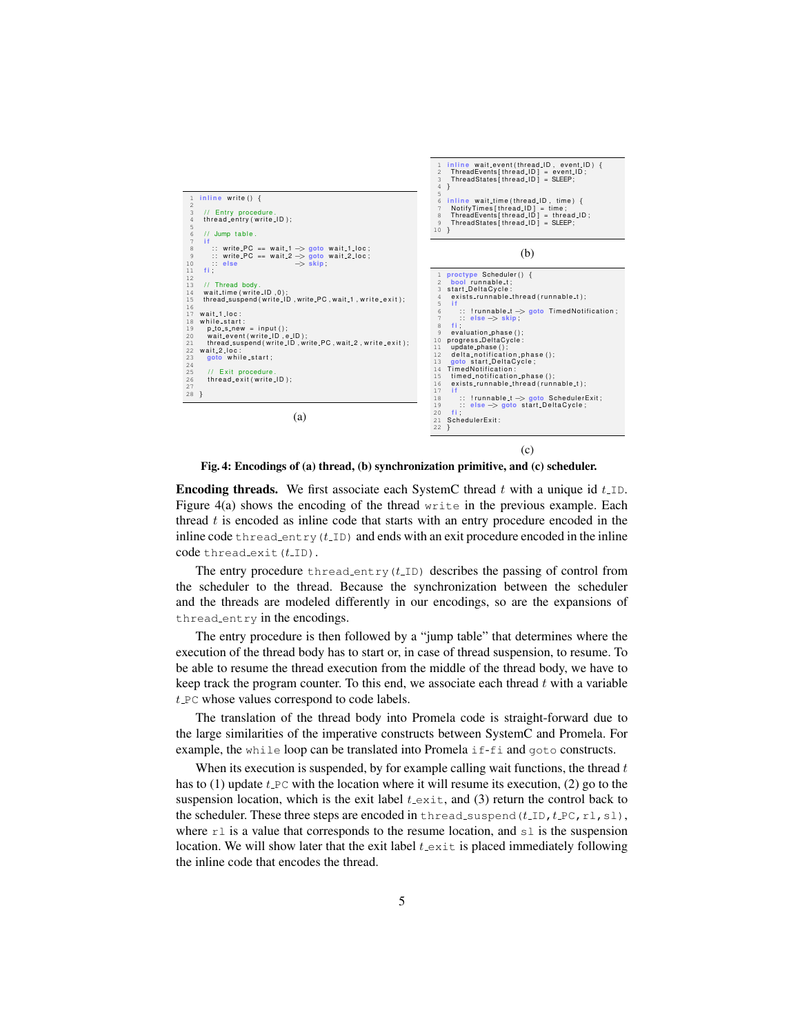

(c)

Fig. 4: Encodings of (a) thread, (b) synchronization primitive, and (c) scheduler.

**Encoding threads.** We first associate each SystemC thread t with a unique id  $t$ \_ID. Figure 4(a) shows the encoding of the thread write in the previous example. Each thread  $t$  is encoded as inline code that starts with an entry procedure encoded in the inline code thread entry  $(t$ <sub>-ID</sub>) and ends with an exit procedure encoded in the inline  $code$  thread\_exit $(t$ \_ID).

The entry procedure thread entry  $(t_\text{.ID})$  describes the passing of control from the scheduler to the thread. Because the synchronization between the scheduler and the threads are modeled differently in our encodings, so are the expansions of thread entry in the encodings.

The entry procedure is then followed by a "jump table" that determines where the execution of the thread body has to start or, in case of thread suspension, to resume. To be able to resume the thread execution from the middle of the thread body, we have to keep track the program counter. To this end, we associate each thread  $t$  with a variable  $t$ <sub>-P</sub> $\subset$  whose values correspond to code labels.

The translation of the thread body into Promela code is straight-forward due to the large similarities of the imperative constructs between SystemC and Promela. For example, the while loop can be translated into Promela if-fi and goto constructs.

When its execution is suspended, by for example calling wait functions, the thread  $t$ has to (1) update  $t$ <sub>-P</sub>C with the location where it will resume its execution, (2) go to the suspension location, which is the exit label  $t$ -exit, and (3) return the control back to the scheduler. These three steps are encoded in thread\_suspend( $t$ \_ID, $t$ \_PC, $r$ l,sl), where  $r1$  is a value that corresponds to the resume location, and  $s1$  is the suspension location. We will show later that the exit label  $t$ -exit is placed immediately following the inline code that encodes the thread.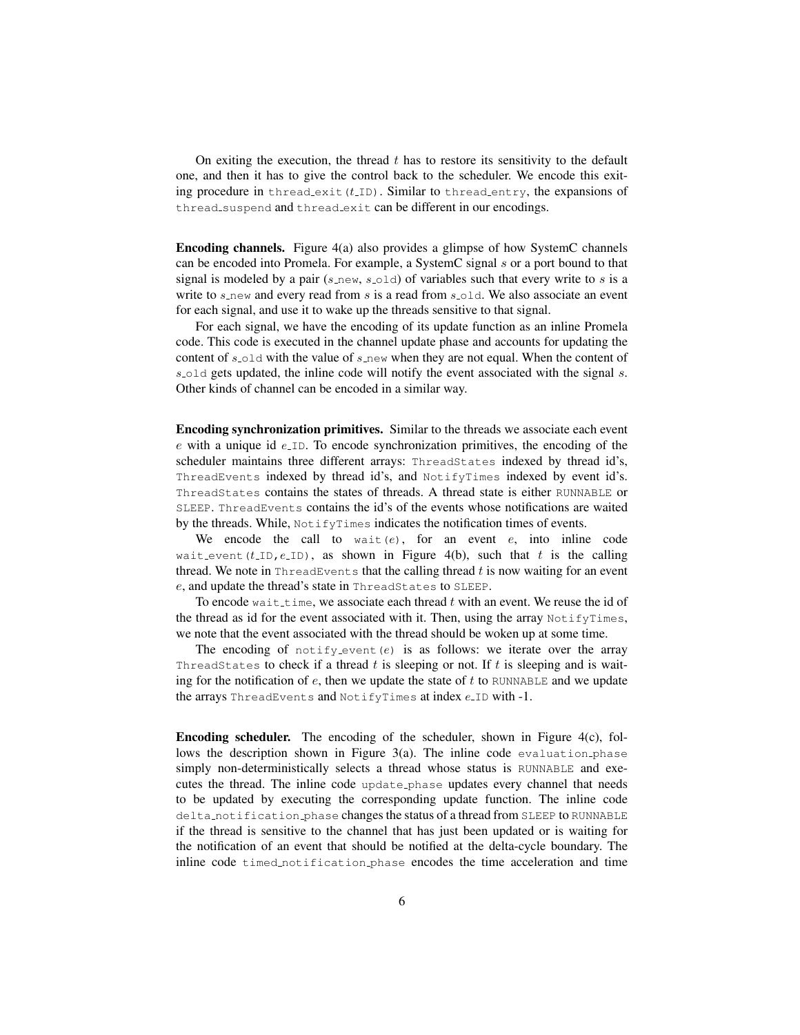On exiting the execution, the thread  $t$  has to restore its sensitivity to the default one, and then it has to give the control back to the scheduler. We encode this exiting procedure in thread exit ( $t$ <sub>-ID</sub>). Similar to thread entry, the expansions of thread suspend and thread exit can be different in our encodings.

Encoding channels. Figure 4(a) also provides a glimpse of how SystemC channels can be encoded into Promela. For example, a SystemC signal s or a port bound to that signal is modeled by a pair  $(s_{\text{new}}, s_{\text{old}})$  of variables such that every write to s is a write to  $s$ <sub>new</sub> and every read from  $s$  is a read from  $s$ <sub>-o</sub>ld. We also associate an event for each signal, and use it to wake up the threads sensitive to that signal.

For each signal, we have the encoding of its update function as an inline Promela code. This code is executed in the channel update phase and accounts for updating the content of  $s$ -old with the value of  $s$ -new when they are not equal. When the content of  $s$ -old gets updated, the inline code will notify the event associated with the signal  $s$ . Other kinds of channel can be encoded in a similar way.

Encoding synchronization primitives. Similar to the threads we associate each event e with a unique id  $e$ <sub>-ID</sub>. To encode synchronization primitives, the encoding of the scheduler maintains three different arrays: ThreadStates indexed by thread id's, ThreadEvents indexed by thread id's, and NotifyTimes indexed by event id's. ThreadStates contains the states of threads. A thread state is either RUNNABLE or SLEEP. ThreadEvents contains the id's of the events whose notifications are waited by the threads. While, NotifyTimes indicates the notification times of events.

We encode the call to wait(e), for an event e, into inline code wait event  $(t$  ID,  $e$  ID), as shown in Figure 4(b), such that t is the calling thread. We note in ThreadEvents that the calling thread  $t$  is now waiting for an event e, and update the thread's state in ThreadStates to SLEEP.

To encode wait time, we associate each thread t with an event. We reuse the id of the thread as id for the event associated with it. Then, using the array NotifyTimes, we note that the event associated with the thread should be woken up at some time.

The encoding of notify event(e) is as follows: we iterate over the array ThreadStates to check if a thread t is sleeping or not. If t is sleeping and is waiting for the notification of  $e$ , then we update the state of  $t$  to RUNNABLE and we update the arrays ThreadEvents and NotifyTimes at index  $e$ <sub>-ID</sub> with -1.

**Encoding scheduler.** The encoding of the scheduler, shown in Figure  $4(c)$ , follows the description shown in Figure  $3(a)$ . The inline code evaluation phase simply non-deterministically selects a thread whose status is RUNNABLE and executes the thread. The inline code update phase updates every channel that needs to be updated by executing the corresponding update function. The inline code delta notification phase changes the status of a thread from SLEEP to RUNNABLE if the thread is sensitive to the channel that has just been updated or is waiting for the notification of an event that should be notified at the delta-cycle boundary. The inline code timed notification phase encodes the time acceleration and time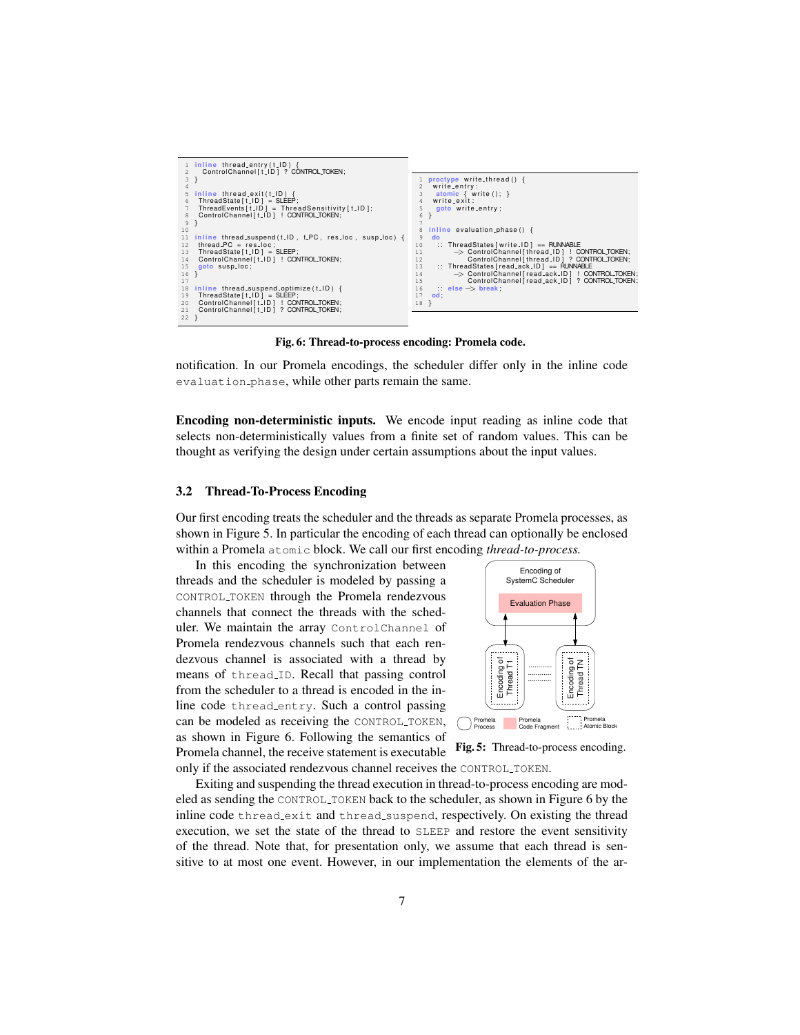

Fig. 6: Thread-to-process encoding: Promela code.

notification. In our Promela encodings, the scheduler differ only in the inline code evaluation phase, while other parts remain the same.

Encoding non-deterministic inputs. We encode input reading as inline code that selects non-deterministically values from a finite set of random values. This can be thought as verifying the design under certain assumptions about the input values.

#### 3.2 Thread-To-Process Encoding

Our first encoding treats the scheduler and the threads as separate Promela processes, as shown in Figure 5. In particular the encoding of each thread can optionally be enclosed within a Promela atomic block. We call our first encoding *thread-to-process.*

In this encoding the synchronization between threads and the scheduler is modeled by passing a CONTROL TOKEN through the Promela rendezvous channels that connect the threads with the scheduler. We maintain the array ControlChannel of Promela rendezvous channels such that each rendezvous channel is associated with a thread by means of thread ID. Recall that passing control from the scheduler to a thread is encoded in the inline code thread entry. Such a control passing can be modeled as receiving the CONTROL TOKEN, as shown in Figure 6. Following the semantics of Promela channel, the receive statement is executable



Fig. 5: Thread-to-process encoding.

only if the associated rendezvous channel receives the CONTROL TOKEN.

Exiting and suspending the thread execution in thread-to-process encoding are modeled as sending the CONTROL TOKEN back to the scheduler, as shown in Figure 6 by the inline code thread exit and thread suspend, respectively. On existing the thread execution, we set the state of the thread to SLEEP and restore the event sensitivity of the thread. Note that, for presentation only, we assume that each thread is sensitive to at most one event. However, in our implementation the elements of the ar-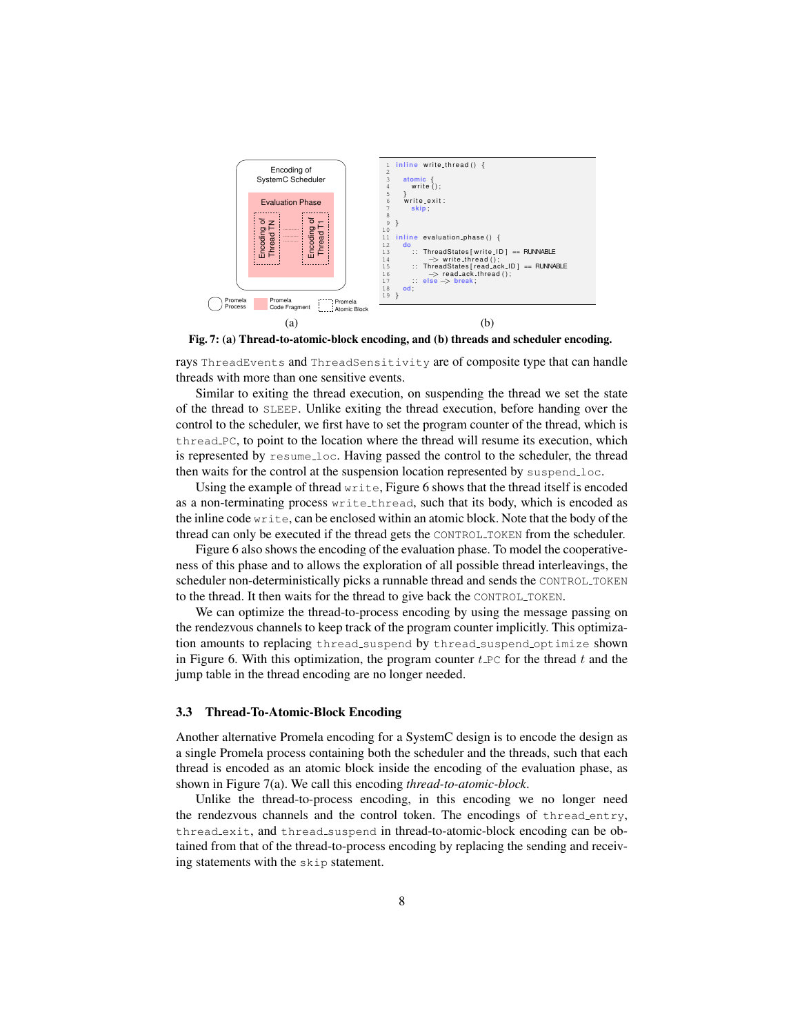

Fig. 7: (a) Thread-to-atomic-block encoding, and (b) threads and scheduler encoding.

rays ThreadEvents and ThreadSensitivity are of composite type that can handle threads with more than one sensitive events.

Similar to exiting the thread execution, on suspending the thread we set the state of the thread to SLEEP. Unlike exiting the thread execution, before handing over the control to the scheduler, we first have to set the program counter of the thread, which is thread PC, to point to the location where the thread will resume its execution, which is represented by resume loc. Having passed the control to the scheduler, the thread then waits for the control at the suspension location represented by suspend loc.

Using the example of thread write, Figure 6 shows that the thread itself is encoded as a non-terminating process write thread, such that its body, which is encoded as the inline code write, can be enclosed within an atomic block. Note that the body of the thread can only be executed if the thread gets the CONTROL TOKEN from the scheduler.

Figure 6 also shows the encoding of the evaluation phase. To model the cooperativeness of this phase and to allows the exploration of all possible thread interleavings, the scheduler non-deterministically picks a runnable thread and sends the CONTROL\_TOKEN to the thread. It then waits for the thread to give back the CONTROL TOKEN.

We can optimize the thread-to-process encoding by using the message passing on the rendezvous channels to keep track of the program counter implicitly. This optimization amounts to replacing thread\_suspend by thread\_suspend\_optimize shown in Figure 6. With this optimization, the program counter  $t$ <sub>-PC</sub> for the thread  $t$  and the jump table in the thread encoding are no longer needed.

#### 3.3 Thread-To-Atomic-Block Encoding

Another alternative Promela encoding for a SystemC design is to encode the design as a single Promela process containing both the scheduler and the threads, such that each thread is encoded as an atomic block inside the encoding of the evaluation phase, as shown in Figure 7(a). We call this encoding *thread-to-atomic-block*.

Unlike the thread-to-process encoding, in this encoding we no longer need the rendezvous channels and the control token. The encodings of thread entry, thread exit, and thread suspend in thread-to-atomic-block encoding can be obtained from that of the thread-to-process encoding by replacing the sending and receiving statements with the skip statement.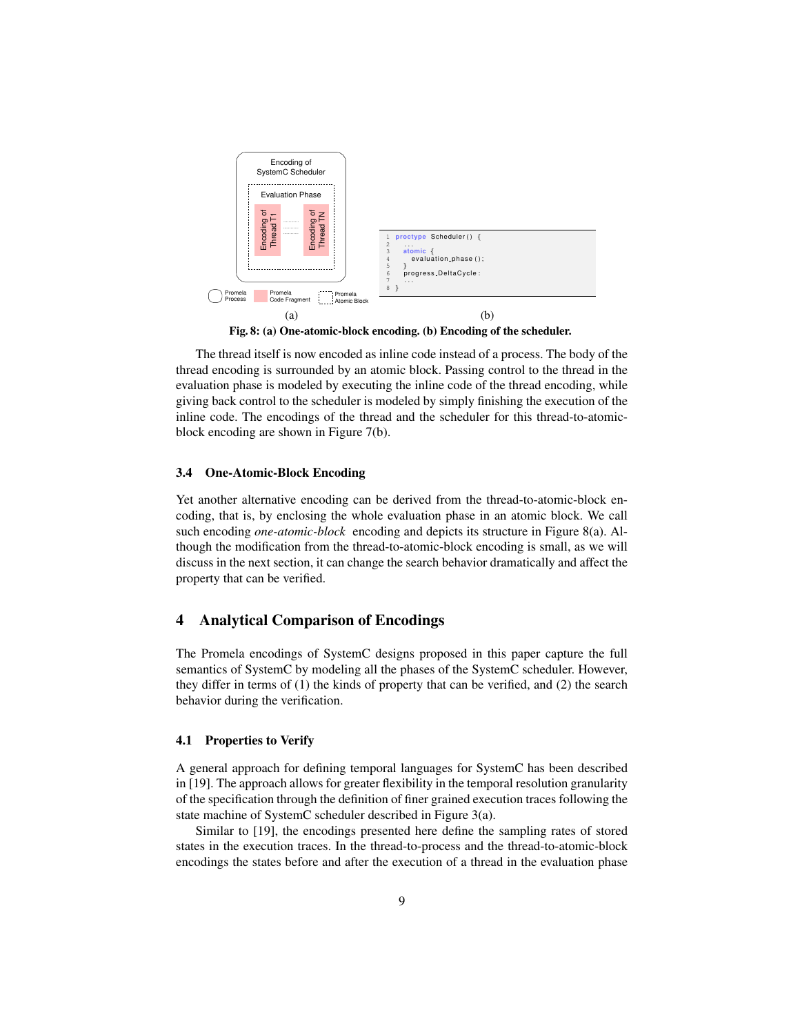



The thread itself is now encoded as inline code instead of a process. The body of the thread encoding is surrounded by an atomic block. Passing control to the thread in the evaluation phase is modeled by executing the inline code of the thread encoding, while giving back control to the scheduler is modeled by simply finishing the execution of the inline code. The encodings of the thread and the scheduler for this thread-to-atomicblock encoding are shown in Figure 7(b).

### 3.4 One-Atomic-Block Encoding

Yet another alternative encoding can be derived from the thread-to-atomic-block encoding, that is, by enclosing the whole evaluation phase in an atomic block. We call such encoding *one-atomic-block* encoding and depicts its structure in Figure 8(a). Although the modification from the thread-to-atomic-block encoding is small, as we will discuss in the next section, it can change the search behavior dramatically and affect the property that can be verified.

### 4 Analytical Comparison of Encodings

The Promela encodings of SystemC designs proposed in this paper capture the full semantics of SystemC by modeling all the phases of the SystemC scheduler. However, they differ in terms of (1) the kinds of property that can be verified, and (2) the search behavior during the verification.

#### 4.1 Properties to Verify

A general approach for defining temporal languages for SystemC has been described in [19]. The approach allows for greater flexibility in the temporal resolution granularity of the specification through the definition of finer grained execution traces following the state machine of SystemC scheduler described in Figure 3(a).

Similar to [19], the encodings presented here define the sampling rates of stored states in the execution traces. In the thread-to-process and the thread-to-atomic-block encodings the states before and after the execution of a thread in the evaluation phase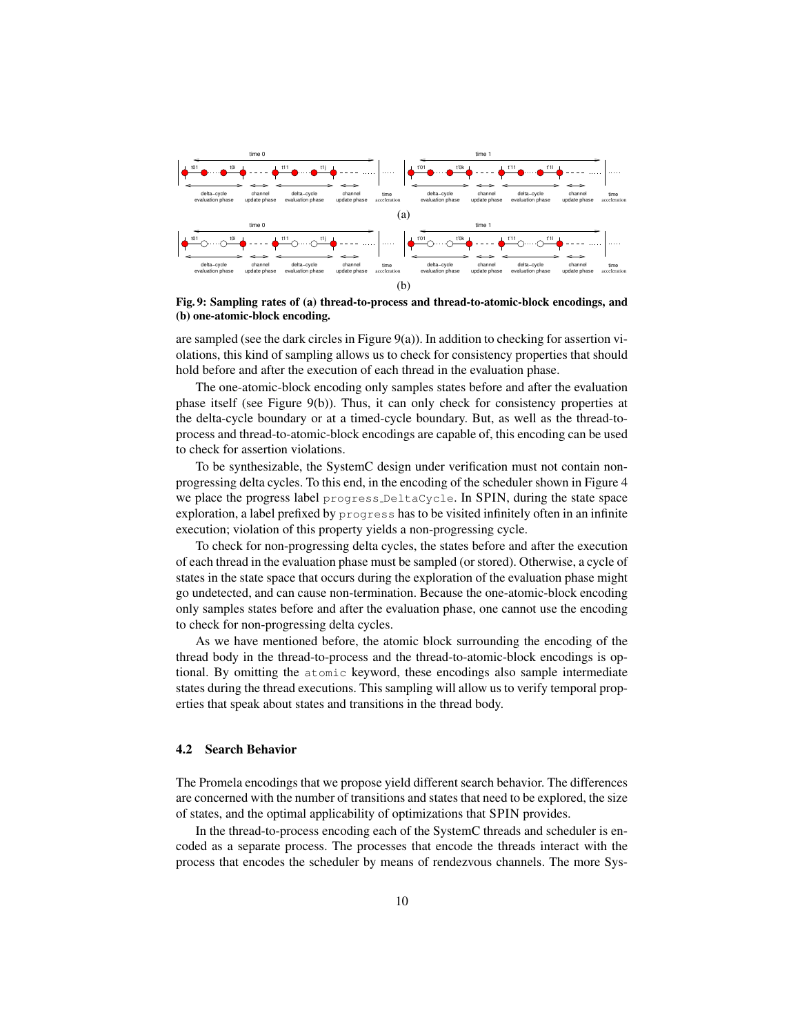

Fig. 9: Sampling rates of (a) thread-to-process and thread-to-atomic-block encodings, and (b) one-atomic-block encoding.

are sampled (see the dark circles in Figure  $9(a)$ ). In addition to checking for assertion violations, this kind of sampling allows us to check for consistency properties that should hold before and after the execution of each thread in the evaluation phase.

The one-atomic-block encoding only samples states before and after the evaluation phase itself (see Figure 9(b)). Thus, it can only check for consistency properties at the delta-cycle boundary or at a timed-cycle boundary. But, as well as the thread-toprocess and thread-to-atomic-block encodings are capable of, this encoding can be used to check for assertion violations.

To be synthesizable, the SystemC design under verification must not contain nonprogressing delta cycles. To this end, in the encoding of the scheduler shown in Figure 4 we place the progress label progress DeltaCycle. In SPIN, during the state space exploration, a label prefixed by progress has to be visited infinitely often in an infinite execution; violation of this property yields a non-progressing cycle.

To check for non-progressing delta cycles, the states before and after the execution of each thread in the evaluation phase must be sampled (or stored). Otherwise, a cycle of states in the state space that occurs during the exploration of the evaluation phase might go undetected, and can cause non-termination. Because the one-atomic-block encoding only samples states before and after the evaluation phase, one cannot use the encoding to check for non-progressing delta cycles.

As we have mentioned before, the atomic block surrounding the encoding of the thread body in the thread-to-process and the thread-to-atomic-block encodings is optional. By omitting the atomic keyword, these encodings also sample intermediate states during the thread executions. This sampling will allow us to verify temporal properties that speak about states and transitions in the thread body.

#### 4.2 Search Behavior

The Promela encodings that we propose yield different search behavior. The differences are concerned with the number of transitions and states that need to be explored, the size of states, and the optimal applicability of optimizations that SPIN provides.

In the thread-to-process encoding each of the SystemC threads and scheduler is encoded as a separate process. The processes that encode the threads interact with the process that encodes the scheduler by means of rendezvous channels. The more Sys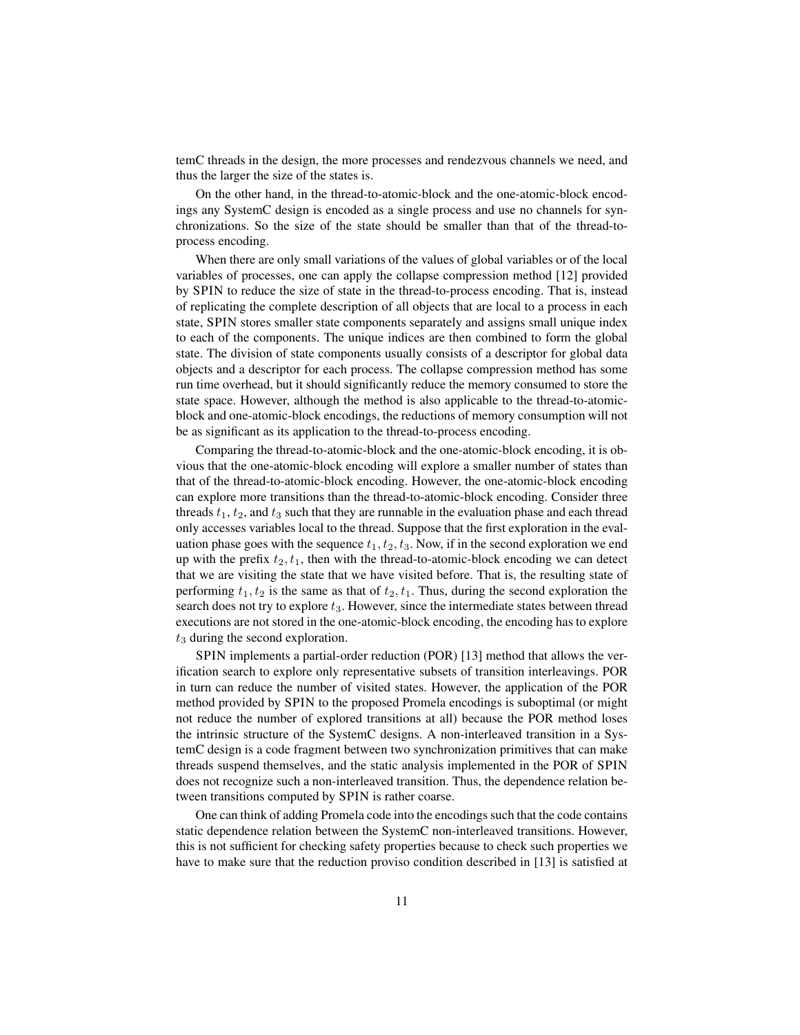temC threads in the design, the more processes and rendezvous channels we need, and thus the larger the size of the states is.

On the other hand, in the thread-to-atomic-block and the one-atomic-block encodings any SystemC design is encoded as a single process and use no channels for synchronizations. So the size of the state should be smaller than that of the thread-toprocess encoding.

When there are only small variations of the values of global variables or of the local variables of processes, one can apply the collapse compression method [12] provided by SPIN to reduce the size of state in the thread-to-process encoding. That is, instead of replicating the complete description of all objects that are local to a process in each state, SPIN stores smaller state components separately and assigns small unique index to each of the components. The unique indices are then combined to form the global state. The division of state components usually consists of a descriptor for global data objects and a descriptor for each process. The collapse compression method has some run time overhead, but it should significantly reduce the memory consumed to store the state space. However, although the method is also applicable to the thread-to-atomicblock and one-atomic-block encodings, the reductions of memory consumption will not be as significant as its application to the thread-to-process encoding.

Comparing the thread-to-atomic-block and the one-atomic-block encoding, it is obvious that the one-atomic-block encoding will explore a smaller number of states than that of the thread-to-atomic-block encoding. However, the one-atomic-block encoding can explore more transitions than the thread-to-atomic-block encoding. Consider three threads  $t_1, t_2$ , and  $t_3$  such that they are runnable in the evaluation phase and each thread only accesses variables local to the thread. Suppose that the first exploration in the evaluation phase goes with the sequence  $t_1, t_2, t_3$ . Now, if in the second exploration we end up with the prefix  $t_2, t_1$ , then with the thread-to-atomic-block encoding we can detect that we are visiting the state that we have visited before. That is, the resulting state of performing  $t_1, t_2$  is the same as that of  $t_2, t_1$ . Thus, during the second exploration the search does not try to explore  $t_3$ . However, since the intermediate states between thread executions are not stored in the one-atomic-block encoding, the encoding has to explore  $t<sub>3</sub>$  during the second exploration.

SPIN implements a partial-order reduction (POR) [13] method that allows the verification search to explore only representative subsets of transition interleavings. POR in turn can reduce the number of visited states. However, the application of the POR method provided by SPIN to the proposed Promela encodings is suboptimal (or might not reduce the number of explored transitions at all) because the POR method loses the intrinsic structure of the SystemC designs. A non-interleaved transition in a SystemC design is a code fragment between two synchronization primitives that can make threads suspend themselves, and the static analysis implemented in the POR of SPIN does not recognize such a non-interleaved transition. Thus, the dependence relation between transitions computed by SPIN is rather coarse.

One can think of adding Promela code into the encodings such that the code contains static dependence relation between the SystemC non-interleaved transitions. However, this is not sufficient for checking safety properties because to check such properties we have to make sure that the reduction proviso condition described in [13] is satisfied at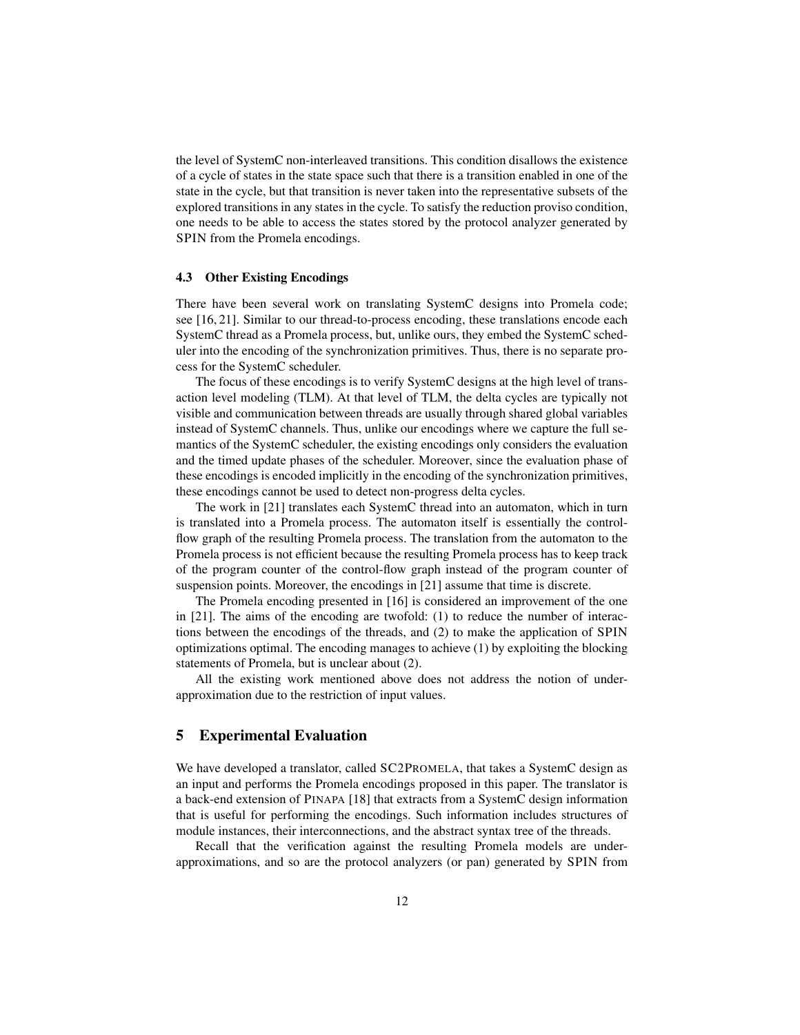the level of SystemC non-interleaved transitions. This condition disallows the existence of a cycle of states in the state space such that there is a transition enabled in one of the state in the cycle, but that transition is never taken into the representative subsets of the explored transitions in any states in the cycle. To satisfy the reduction proviso condition, one needs to be able to access the states stored by the protocol analyzer generated by SPIN from the Promela encodings.

#### 4.3 Other Existing Encodings

There have been several work on translating SystemC designs into Promela code; see [16, 21]. Similar to our thread-to-process encoding, these translations encode each SystemC thread as a Promela process, but, unlike ours, they embed the SystemC scheduler into the encoding of the synchronization primitives. Thus, there is no separate process for the SystemC scheduler.

The focus of these encodings is to verify SystemC designs at the high level of transaction level modeling (TLM). At that level of TLM, the delta cycles are typically not visible and communication between threads are usually through shared global variables instead of SystemC channels. Thus, unlike our encodings where we capture the full semantics of the SystemC scheduler, the existing encodings only considers the evaluation and the timed update phases of the scheduler. Moreover, since the evaluation phase of these encodings is encoded implicitly in the encoding of the synchronization primitives, these encodings cannot be used to detect non-progress delta cycles.

The work in [21] translates each SystemC thread into an automaton, which in turn is translated into a Promela process. The automaton itself is essentially the controlflow graph of the resulting Promela process. The translation from the automaton to the Promela process is not efficient because the resulting Promela process has to keep track of the program counter of the control-flow graph instead of the program counter of suspension points. Moreover, the encodings in [21] assume that time is discrete.

The Promela encoding presented in [16] is considered an improvement of the one in [21]. The aims of the encoding are twofold: (1) to reduce the number of interactions between the encodings of the threads, and (2) to make the application of SPIN optimizations optimal. The encoding manages to achieve (1) by exploiting the blocking statements of Promela, but is unclear about (2).

All the existing work mentioned above does not address the notion of underapproximation due to the restriction of input values.

### 5 Experimental Evaluation

We have developed a translator, called SC2PROMELA, that takes a SystemC design as an input and performs the Promela encodings proposed in this paper. The translator is a back-end extension of PINAPA [18] that extracts from a SystemC design information that is useful for performing the encodings. Such information includes structures of module instances, their interconnections, and the abstract syntax tree of the threads.

Recall that the verification against the resulting Promela models are underapproximations, and so are the protocol analyzers (or pan) generated by SPIN from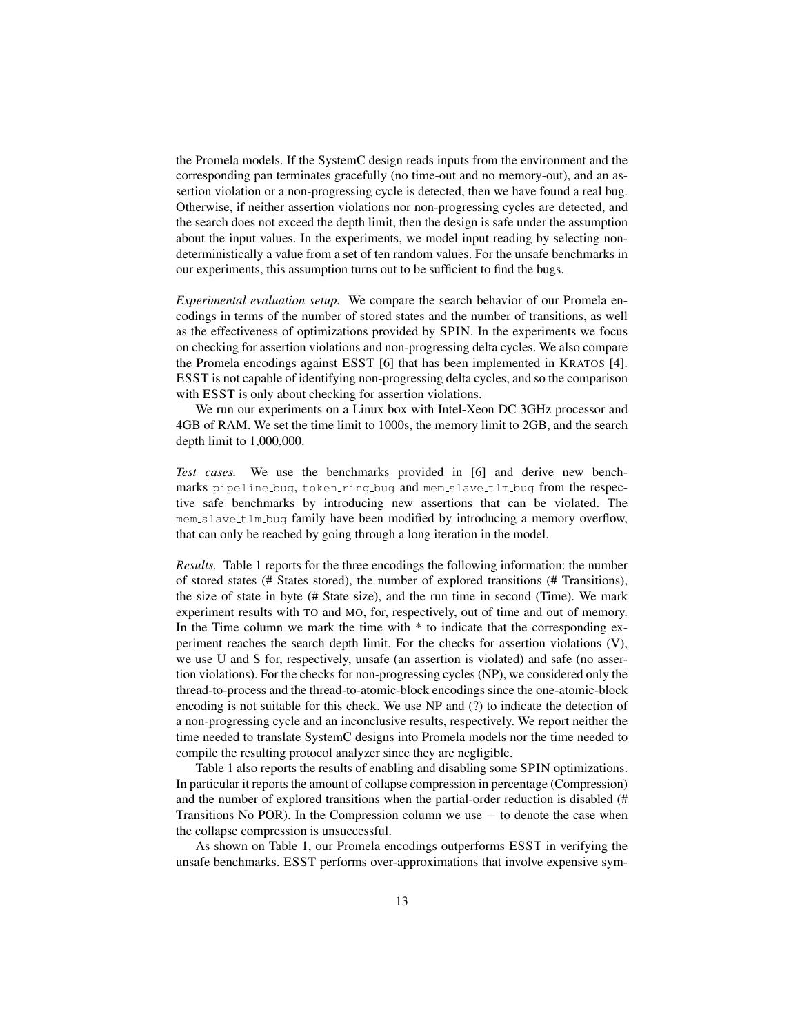the Promela models. If the SystemC design reads inputs from the environment and the corresponding pan terminates gracefully (no time-out and no memory-out), and an assertion violation or a non-progressing cycle is detected, then we have found a real bug. Otherwise, if neither assertion violations nor non-progressing cycles are detected, and the search does not exceed the depth limit, then the design is safe under the assumption about the input values. In the experiments, we model input reading by selecting nondeterministically a value from a set of ten random values. For the unsafe benchmarks in our experiments, this assumption turns out to be sufficient to find the bugs.

*Experimental evaluation setup.* We compare the search behavior of our Promela encodings in terms of the number of stored states and the number of transitions, as well as the effectiveness of optimizations provided by SPIN. In the experiments we focus on checking for assertion violations and non-progressing delta cycles. We also compare the Promela encodings against ESST [6] that has been implemented in KRATOS [4]. ESST is not capable of identifying non-progressing delta cycles, and so the comparison with ESST is only about checking for assertion violations.

We run our experiments on a Linux box with Intel-Xeon DC 3GHz processor and 4GB of RAM. We set the time limit to 1000s, the memory limit to 2GB, and the search depth limit to 1,000,000.

*Test cases.* We use the benchmarks provided in [6] and derive new benchmarks pipeline bug, token ring bug and mem slave tlm bug from the respective safe benchmarks by introducing new assertions that can be violated. The mem\_slave\_tlm\_bug family have been modified by introducing a memory overflow, that can only be reached by going through a long iteration in the model.

*Results.* Table 1 reports for the three encodings the following information: the number of stored states (# States stored), the number of explored transitions (# Transitions), the size of state in byte (# State size), and the run time in second (Time). We mark experiment results with TO and MO, for, respectively, out of time and out of memory. In the Time column we mark the time with \* to indicate that the corresponding experiment reaches the search depth limit. For the checks for assertion violations (V), we use U and S for, respectively, unsafe (an assertion is violated) and safe (no assertion violations). For the checks for non-progressing cycles (NP), we considered only the thread-to-process and the thread-to-atomic-block encodings since the one-atomic-block encoding is not suitable for this check. We use NP and (?) to indicate the detection of a non-progressing cycle and an inconclusive results, respectively. We report neither the time needed to translate SystemC designs into Promela models nor the time needed to compile the resulting protocol analyzer since they are negligible.

Table 1 also reports the results of enabling and disabling some SPIN optimizations. In particular it reports the amount of collapse compression in percentage (Compression) and the number of explored transitions when the partial-order reduction is disabled (# Transitions No POR). In the Compression column we use  $-$  to denote the case when the collapse compression is unsuccessful.

As shown on Table 1, our Promela encodings outperforms ESST in verifying the unsafe benchmarks. ESST performs over-approximations that involve expensive sym-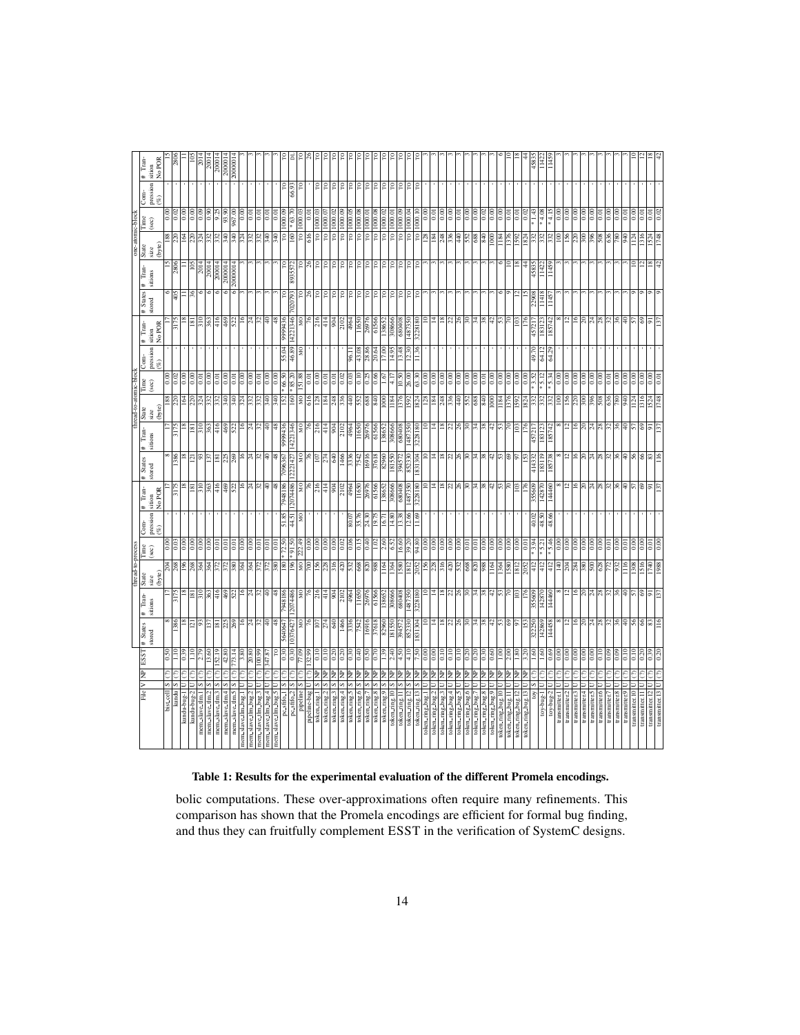Table 1: Results for the experimental evaluation of the different Promela encodings.

bolic computations. These over-approximations often require many refinements. This comparison has shown that the Promela encodings are efficient for formal bug finding, and thus they can fruitfully complement ESST in the verification of SystemC designs.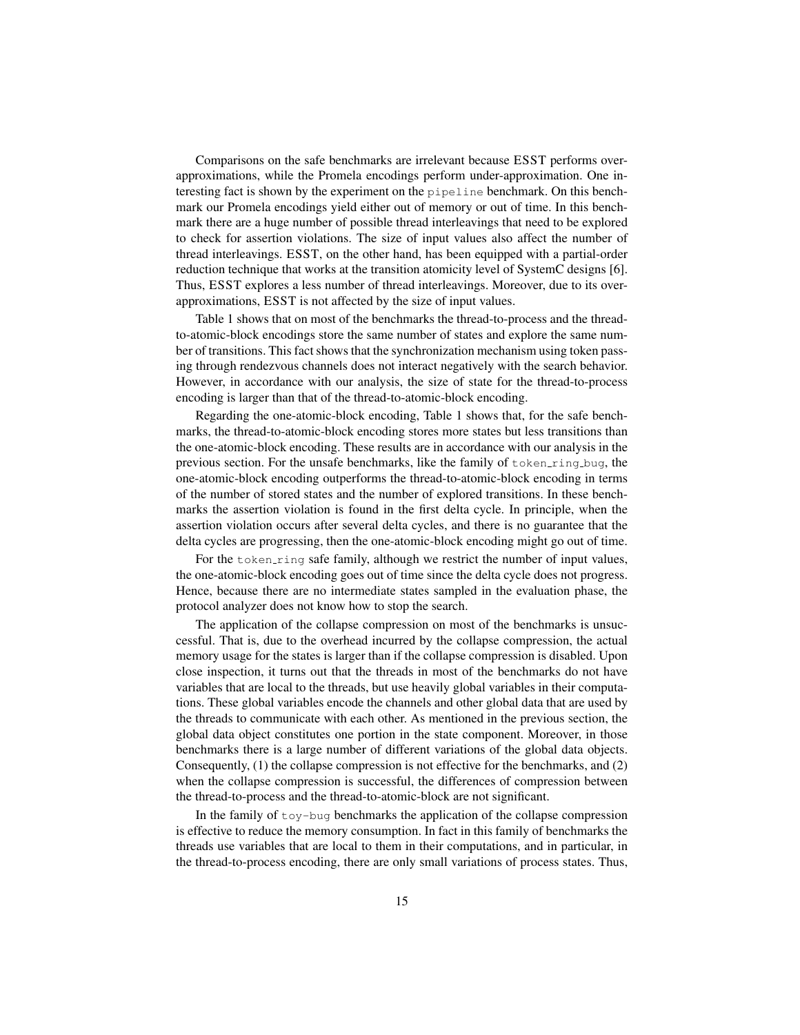Comparisons on the safe benchmarks are irrelevant because ESST performs overapproximations, while the Promela encodings perform under-approximation. One interesting fact is shown by the experiment on the pipeline benchmark. On this benchmark our Promela encodings yield either out of memory or out of time. In this benchmark there are a huge number of possible thread interleavings that need to be explored to check for assertion violations. The size of input values also affect the number of thread interleavings. ESST, on the other hand, has been equipped with a partial-order reduction technique that works at the transition atomicity level of SystemC designs [6]. Thus, ESST explores a less number of thread interleavings. Moreover, due to its overapproximations, ESST is not affected by the size of input values.

Table 1 shows that on most of the benchmarks the thread-to-process and the threadto-atomic-block encodings store the same number of states and explore the same number of transitions. This fact shows that the synchronization mechanism using token passing through rendezvous channels does not interact negatively with the search behavior. However, in accordance with our analysis, the size of state for the thread-to-process encoding is larger than that of the thread-to-atomic-block encoding.

Regarding the one-atomic-block encoding, Table 1 shows that, for the safe benchmarks, the thread-to-atomic-block encoding stores more states but less transitions than the one-atomic-block encoding. These results are in accordance with our analysis in the previous section. For the unsafe benchmarks, like the family of token ring bug, the one-atomic-block encoding outperforms the thread-to-atomic-block encoding in terms of the number of stored states and the number of explored transitions. In these benchmarks the assertion violation is found in the first delta cycle. In principle, when the assertion violation occurs after several delta cycles, and there is no guarantee that the delta cycles are progressing, then the one-atomic-block encoding might go out of time.

For the token ring safe family, although we restrict the number of input values, the one-atomic-block encoding goes out of time since the delta cycle does not progress. Hence, because there are no intermediate states sampled in the evaluation phase, the protocol analyzer does not know how to stop the search.

The application of the collapse compression on most of the benchmarks is unsuccessful. That is, due to the overhead incurred by the collapse compression, the actual memory usage for the states is larger than if the collapse compression is disabled. Upon close inspection, it turns out that the threads in most of the benchmarks do not have variables that are local to the threads, but use heavily global variables in their computations. These global variables encode the channels and other global data that are used by the threads to communicate with each other. As mentioned in the previous section, the global data object constitutes one portion in the state component. Moreover, in those benchmarks there is a large number of different variations of the global data objects. Consequently, (1) the collapse compression is not effective for the benchmarks, and (2) when the collapse compression is successful, the differences of compression between the thread-to-process and the thread-to-atomic-block are not significant.

In the family of  $\text{toy-buq}$  benchmarks the application of the collapse compression is effective to reduce the memory consumption. In fact in this family of benchmarks the threads use variables that are local to them in their computations, and in particular, in the thread-to-process encoding, there are only small variations of process states. Thus,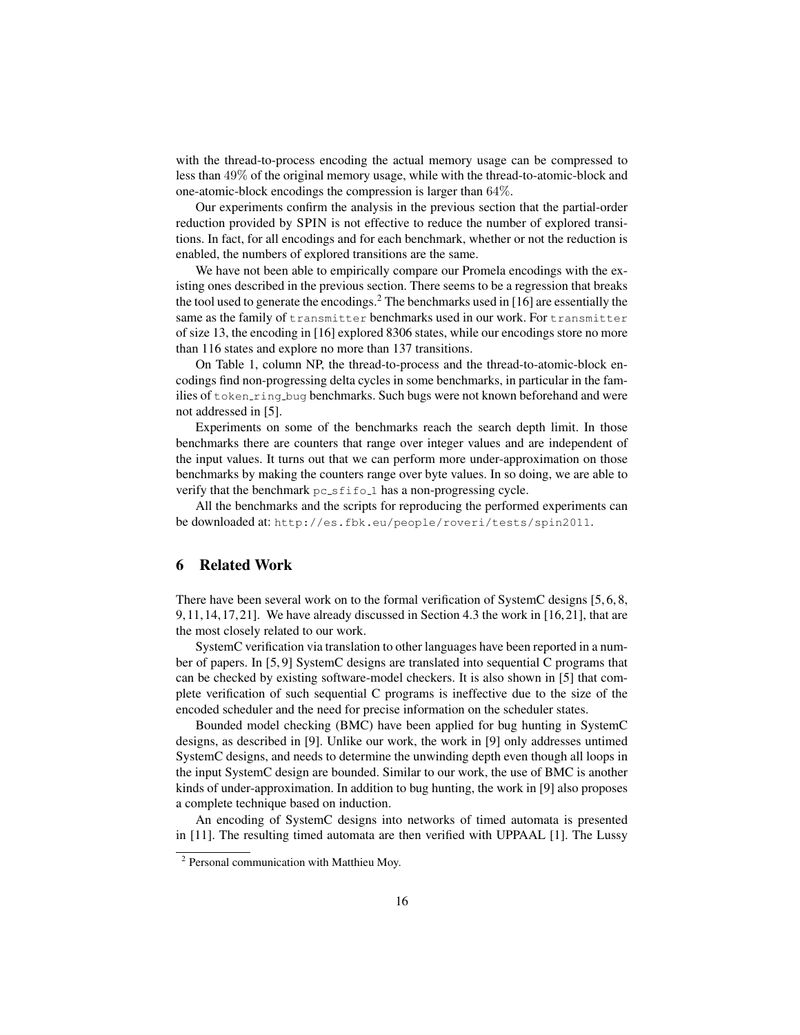with the thread-to-process encoding the actual memory usage can be compressed to less than 49% of the original memory usage, while with the thread-to-atomic-block and one-atomic-block encodings the compression is larger than 64%.

Our experiments confirm the analysis in the previous section that the partial-order reduction provided by SPIN is not effective to reduce the number of explored transitions. In fact, for all encodings and for each benchmark, whether or not the reduction is enabled, the numbers of explored transitions are the same.

We have not been able to empirically compare our Promela encodings with the existing ones described in the previous section. There seems to be a regression that breaks the tool used to generate the encodings.<sup>2</sup> The benchmarks used in  $[16]$  are essentially the same as the family of transmitter benchmarks used in our work. For transmitter of size 13, the encoding in [16] explored 8306 states, while our encodings store no more than 116 states and explore no more than 137 transitions.

On Table 1, column NP, the thread-to-process and the thread-to-atomic-block encodings find non-progressing delta cycles in some benchmarks, in particular in the families of token ring bug benchmarks. Such bugs were not known beforehand and were not addressed in [5].

Experiments on some of the benchmarks reach the search depth limit. In those benchmarks there are counters that range over integer values and are independent of the input values. It turns out that we can perform more under-approximation on those benchmarks by making the counters range over byte values. In so doing, we are able to verify that the benchmark  $p_{\text{c}}$  sfifo 1 has a non-progressing cycle.

All the benchmarks and the scripts for reproducing the performed experiments can be downloaded at: http://es.fbk.eu/people/roveri/tests/spin2011.

### 6 Related Work

There have been several work on to the formal verification of SystemC designs [5, 6, 8, 9,11,14,17,21]. We have already discussed in Section 4.3 the work in [16,21], that are the most closely related to our work.

SystemC verification via translation to other languages have been reported in a number of papers. In [5, 9] SystemC designs are translated into sequential C programs that can be checked by existing software-model checkers. It is also shown in [5] that complete verification of such sequential C programs is ineffective due to the size of the encoded scheduler and the need for precise information on the scheduler states.

Bounded model checking (BMC) have been applied for bug hunting in SystemC designs, as described in [9]. Unlike our work, the work in [9] only addresses untimed SystemC designs, and needs to determine the unwinding depth even though all loops in the input SystemC design are bounded. Similar to our work, the use of BMC is another kinds of under-approximation. In addition to bug hunting, the work in [9] also proposes a complete technique based on induction.

An encoding of SystemC designs into networks of timed automata is presented in [11]. The resulting timed automata are then verified with UPPAAL [1]. The Lussy

<sup>&</sup>lt;sup>2</sup> Personal communication with Matthieu Moy.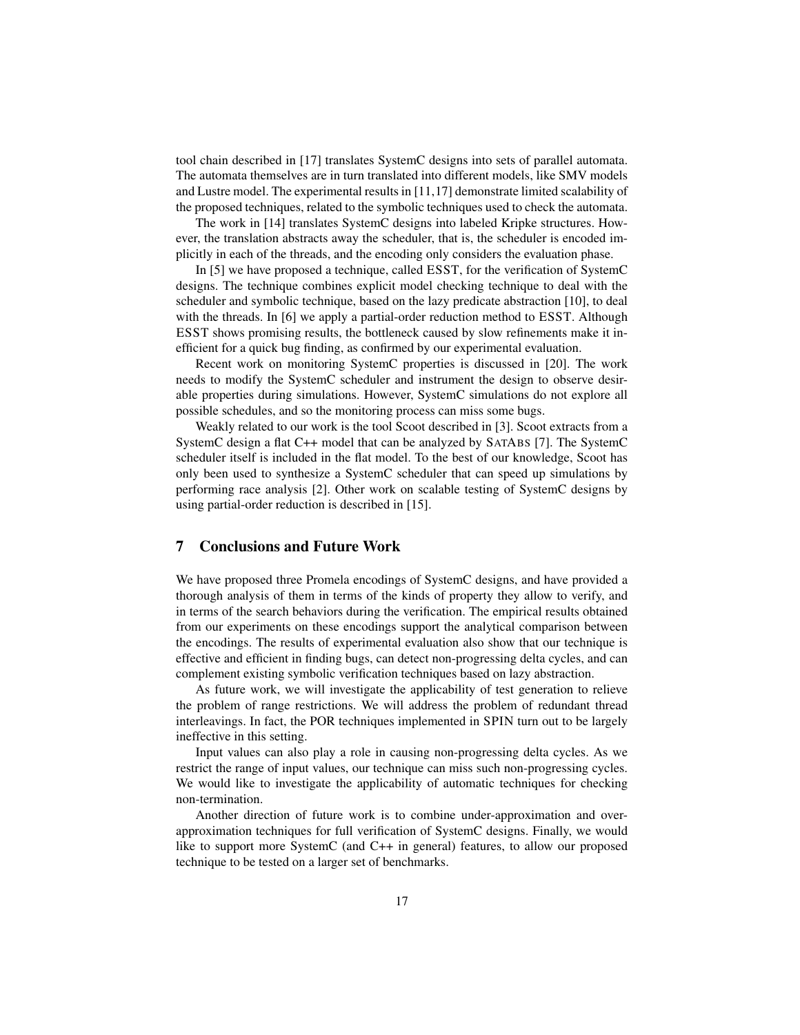tool chain described in [17] translates SystemC designs into sets of parallel automata. The automata themselves are in turn translated into different models, like SMV models and Lustre model. The experimental results in [11,17] demonstrate limited scalability of the proposed techniques, related to the symbolic techniques used to check the automata.

The work in [14] translates SystemC designs into labeled Kripke structures. However, the translation abstracts away the scheduler, that is, the scheduler is encoded implicitly in each of the threads, and the encoding only considers the evaluation phase.

In [5] we have proposed a technique, called ESST, for the verification of SystemC designs. The technique combines explicit model checking technique to deal with the scheduler and symbolic technique, based on the lazy predicate abstraction [10], to deal with the threads. In [6] we apply a partial-order reduction method to ESST. Although ESST shows promising results, the bottleneck caused by slow refinements make it inefficient for a quick bug finding, as confirmed by our experimental evaluation.

Recent work on monitoring SystemC properties is discussed in [20]. The work needs to modify the SystemC scheduler and instrument the design to observe desirable properties during simulations. However, SystemC simulations do not explore all possible schedules, and so the monitoring process can miss some bugs.

Weakly related to our work is the tool Scoot described in [3]. Scoot extracts from a SystemC design a flat C++ model that can be analyzed by SATABS [7]. The SystemC scheduler itself is included in the flat model. To the best of our knowledge, Scoot has only been used to synthesize a SystemC scheduler that can speed up simulations by performing race analysis [2]. Other work on scalable testing of SystemC designs by using partial-order reduction is described in [15].

## 7 Conclusions and Future Work

We have proposed three Promela encodings of SystemC designs, and have provided a thorough analysis of them in terms of the kinds of property they allow to verify, and in terms of the search behaviors during the verification. The empirical results obtained from our experiments on these encodings support the analytical comparison between the encodings. The results of experimental evaluation also show that our technique is effective and efficient in finding bugs, can detect non-progressing delta cycles, and can complement existing symbolic verification techniques based on lazy abstraction.

As future work, we will investigate the applicability of test generation to relieve the problem of range restrictions. We will address the problem of redundant thread interleavings. In fact, the POR techniques implemented in SPIN turn out to be largely ineffective in this setting.

Input values can also play a role in causing non-progressing delta cycles. As we restrict the range of input values, our technique can miss such non-progressing cycles. We would like to investigate the applicability of automatic techniques for checking non-termination.

Another direction of future work is to combine under-approximation and overapproximation techniques for full verification of SystemC designs. Finally, we would like to support more SystemC (and C++ in general) features, to allow our proposed technique to be tested on a larger set of benchmarks.